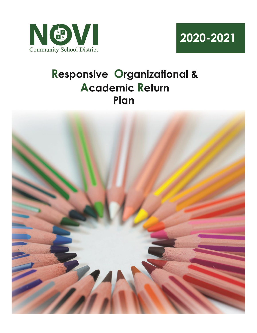



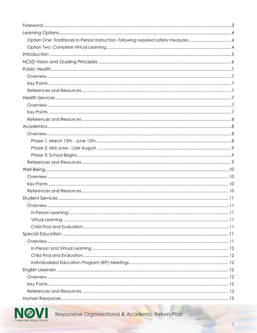| Option One: Traditional In-Person Instruction, following required safety measures.  4 |  |
|---------------------------------------------------------------------------------------|--|
|                                                                                       |  |
|                                                                                       |  |
|                                                                                       |  |
|                                                                                       |  |
|                                                                                       |  |
|                                                                                       |  |
|                                                                                       |  |
|                                                                                       |  |
|                                                                                       |  |
|                                                                                       |  |
|                                                                                       |  |
|                                                                                       |  |
|                                                                                       |  |
|                                                                                       |  |
|                                                                                       |  |
|                                                                                       |  |
|                                                                                       |  |
|                                                                                       |  |
|                                                                                       |  |
|                                                                                       |  |
|                                                                                       |  |
|                                                                                       |  |
|                                                                                       |  |
|                                                                                       |  |
|                                                                                       |  |
|                                                                                       |  |
|                                                                                       |  |
|                                                                                       |  |
|                                                                                       |  |
|                                                                                       |  |
|                                                                                       |  |
|                                                                                       |  |
|                                                                                       |  |
|                                                                                       |  |
|                                                                                       |  |
|                                                                                       |  |

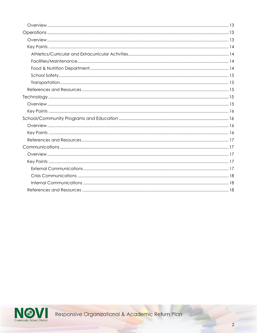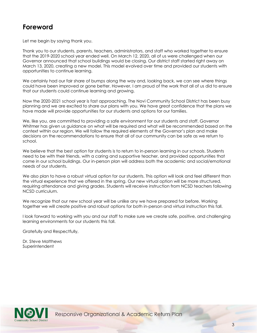## <span id="page-3-0"></span>**Foreword**

Let me begin by saying thank you.

 March 13, 2020, creating a new model. This model evolved over time and provided our students with Thank you to our students, parents, teachers, administrators, and staff who worked together to ensure that the 2019-2020 school year ended well. On March 12, 2020, all of us were challenged when our Governor announced that school buildings would be closing. Our district staff started right away on opportunities to continue learning.

 We certainly had our fair share of bumps along the way and, looking back, we can see where things could have been improved or gone better. However, I am proud of the work that all of us did to ensure that our students could continue learning and growing.

Now the 2020-2021 school year is fast approaching. The Novi Community School District has been busy planning and we are excited to share our plans with you. We have great confidence that the plans we have made will provide opportunities for our students and options for our families.

We, like you, are committed to providing a safe environment for our students and staff. Governor Whitmer has given us guidance on what will be required and what will be recommended based on the context within our region. We will follow the required elements of the Governor's plan and make decisions on the recommendations to ensure that all of our community can be safe as we return to school.

 come in our school buildings. Our in-person plan will address both the academic and social/emotional We believe that the best option for students is to return to in-person learning in our schools. Students need to be with their friends, with a caring and supportive teacher, and provided opportunities that needs of our students.

We also plan to have a robust virtual option for our students. This option will look and feel different than the virtual experience that we offered in the spring. Our new virtual option will be more structured, requiring attendance and giving grades. Students will receive instruction from NCSD teachers following NCSD curriculum.

We recognize that our new school year will be unlike any we have prepared for before. Working together we will create positive and robust options for both in-person and virtual instruction this fall.

I look forward to working with you and our staff to make sure we create safe, positive, and challenging learning environments for our students this fall.

Gratefully and Respectfully,

Dr. Steve Matthews **Superintendent** 

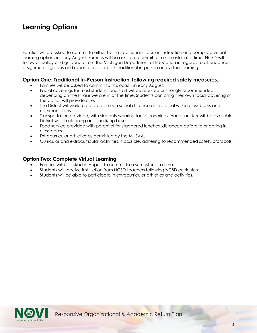## <span id="page-4-0"></span>**Learning Options**

Families will be asked to commit to either to the traditional in-person instruction or a complete virtual learning options in early August. Families will be asked to commit for a semester at a time. NCSD will follow all policy and guidance from the Michigan Department of Education in regards to attendance, assignments, grades and report cards for both traditional in-person and virtual learning.

### <span id="page-4-1"></span> **Option One: Traditional In-Person Instruction, following required safety measures.**

- Families will be asked to commit to this option in early August.
- Facial coverings for most students and staff will be required or strongly recommended, depending on the Phase we are in at the time. Students can bring their own facial covering or the district will provide one.
- The District will work to create as much social distance as practical within classrooms and common areas.
- Transportation provided, with students wearing facial coverings. Hand sanitizer will be available. District will be cleaning and sanitizing buses.
- Food service provided with potential for staggered lunches, distanced cafeteria or eating in classrooms.
- Extracurricular athletics as permitted by the MHSAA.
- Curricular and extracurricular activities, if possible, adhering to recommended safety protocols.

### <span id="page-4-2"></span> **Option Two: Complete Virtual Learning**

- Families will be asked in August to commit to a semester at a time.
- Students will receive instruction from NCSD teachers following NCSD curriculum.
- Students will be able to participate in extracurricular athletics and activities.

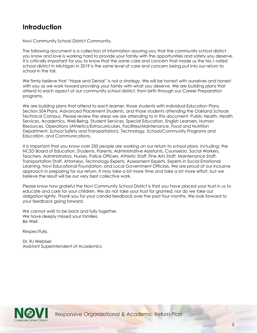## <span id="page-5-0"></span>**Introduction**

Novi Community School District Community,

The following document is a collection of information assuring you that the community school district you know and love is working hard to provide your family with the opportunities and safety you deserve. It is critically important for you to know that the same care and concern that made us the No.1-rated school district in Michigan in 2019 is the same level of care and concern being put into our return to school in the fall.

 with you as we work toward providing your family with what you deserve. We are building plans that We firmly believe that "Hope and Denial" is not a strategy. We will be honest with ourselves and honest attend to each aspect of our community school district, from birth through our Career Preparation programs.

We are building plans that attend to each learner; those students with Individual Education Plans, Section 504 Plans, Advanced Placement Students, and those students attending the Oakland Schools Technical Campus. Please review the areas we are attending to in this document: Public Health, Health Services, Academics, Well-Being, Student Services, Special Education, English Learners, Human Resources, Operations (Athletics/Extracurriculars, Facilities/Maintenance, Food and Nutrition Department, School Safety and Transportation), Technology, School/Community Programs and Education, and Communications.

It is important that you know over 250 people are working on our return to school plans, including: the NCSD Board of Education, Students, Parents, Administrative Assistants, Counselors, Social Workers, Teachers, Administrators, Nurses, Police Officers, Athletic Staff, Fine Arts Staff, Maintenance Staff, Transportation Staff, Attorneys, Technology Experts, Assessment Experts, Experts in Social Emotional Learning, Novi Educational Foundation, and Local Government Officials. We are proud of our inclusive approach in preparing for our return. It may take a bit more time and take a lot more effort, but we believe the result will be our very best collective work.

Please know how grateful the Novi Community School District is that you have placed your trust in us to educate and care for your children. We do not take your trust for granted, nor do we take our obligation lightly. Thank you for your candid feedback over the past four months. We look forward to your feedback going forward.

We cannot wait to be back and fully together. We have deeply missed your families. Be Well.

Respectfully,

**Assistant Superintendent of Academics** Dr. RJ Webber



Assistant Superintendent of Academics<br>
Responsive Organizational & Academic Return Plan<br>
State District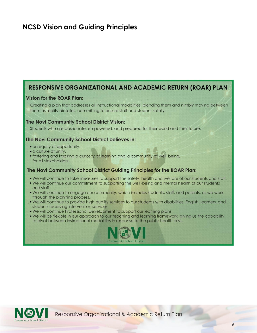## <span id="page-6-0"></span>**NCSD Vision and Guiding Principles**

## RESPONSIVE ORGANIZATIONAL AND ACADEMIC RETURN (ROAR) PLAN

### **Vision for the ROAR Plan:**

Creating a plan that addresses all instructional modalities, blending them and nimbly moving between them as reality dictates, committing to ensure staff and student safety.

#### The Novi Community School District Vision:

Students who are passionate, empowered, and prepared for their world and their future.

#### The Novi Community School District believes in:

- an equity of opportunity,
- · a culture of unity,
- fostering and inspiring a curiosity of learning and a community of well-being, for all stakeholders.

#### The Novi Community School District Guiding Principles for the ROAR Plan:

- . We will continue to take measures to support the safety, health and welfare of our students and staff. • We will continue our commitment to supporting the well-being and mental health of our students and staff.
- . We will continue to engage our community, which includes students, staff, and parents, as we work through the planning process.
- . We will continue to provide high quality services to our students with disabilities, English Learners, and students receiving intervention services.
- . We will continue Professional Development to support our learning plans.
- . We will be flexible in our approach to our teaching and learning framework, giving us the capability to pivot between instructional modalities in response to the public health crisis.



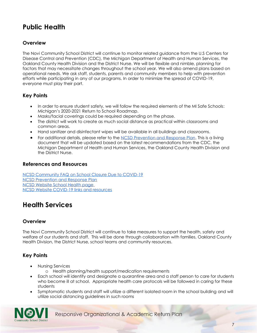## <span id="page-7-0"></span>**Public Health**

## <span id="page-7-1"></span>**Overview**

The Novi Community School District will continue to monitor related guidance from the U.S Centers for Disease Control and Prevention (CDC), the Michigan Department of Health and Human Services, the Oakland County Health Division and the District Nurse. We will be flexible and nimble, planning for factors that may necessitate changes throughout the school year. We will also amend plans based on operational needs. We ask staff, students, parents and community members to help with prevention efforts while participating in any of our programs. In order to minimize the spread of COVID-19, everyone must play their part.

## <span id="page-7-2"></span>**Key Points**

- In order to ensure student safety, we will follow the required elements of the MI Safe Schools: Michigan's 2020-2021 Return to School Roadmap.
- Masks/facial coverings could be required depending on the phase.
- The district will work to create as much social distance as practical within classrooms and common areas.
- Hand sanitizer and disinfectant wipes will be available in all buildings and classrooms.
- For additional details, please refer to the [NCSD Prevention and Response Plan.](https://resources.finalsite.net/images/v1591794792/novik12mius/t1850mzgv6begu4gqgmo/NCSDCOVIDResponsePlan.pdf) This is a living document that will be updated based on the latest recommendations from the CDC, the Michigan Department of Health and Human Services, the Oakland County Health Division and the District Nurse.

### <span id="page-7-3"></span>**References and Resources**

 [NCSD Community FAQ on School Closure Due to COVID-19](https://www.novi.k12.mi.us/community/school-health/community-faq-on-school-closure-due-to-covid-19)  [NCSD Prevention and Response Plan](https://resources.finalsite.net/images/v1591794792/novik12mius/t1850mzgv6begu4gqgmo/NCSDCOVIDResponsePlan.pdf)  [NCSD Website School Health page](https://www.novi.k12.mi.us/community/school-health)  [NCSD Website COVID-19 links and resources](https://www.novi.k12.mi.us/community/school-health/coronavirus-covid-19) 

## <span id="page-7-4"></span>**Health Services**

## <span id="page-7-5"></span>**Overview**

The Novi Community School District will continue to take measures to support the health, safety and welfare of our students and staff. This will be done through collaboration with families, Oakland County Health Division, the District Nurse, school teams and community resources.

## <span id="page-7-6"></span>**Key Points**

- Nursing Services
	- o Health planning/health support/medication requirements
- Each school will identify and designate a quarantine area and a staff person to care for students who become ill at school. Appropriate health care protocols will be followed in caring for these students
- Symptomatic students and staff will utilize a different isolated room in the school building and will utilize social distancing guidelines in such rooms

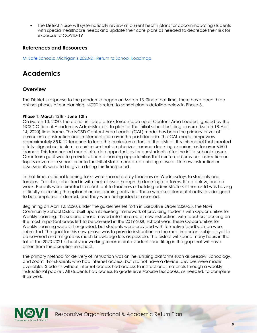• The District Nurse will systematically review all current health plans for accommodating students with special healthcare needs and update their care plans as needed to decrease their risk for exposure to COVID-19

### <span id="page-8-0"></span>**References and Resources**

<span id="page-8-1"></span>[MI Safe Schools: Michigan's 2020](https://lnks.gd/l/eyJhbGciOiJIUzI1NiJ9.eyJidWxsZXRpbl9saW5rX2lkIjoxMDEsInVyaSI6ImJwMjpjbGljayIsImJ1bGxldGluX2lkIjoiMjAyMDA2MzAuMjM3MTYzNTEiLCJ1cmwiOiJodHRwczovL3d3dy5taWNoaWdhbi5nb3YvZG9jdW1lbnRzL3doaXRtZXIvTUlfU2FmZV9TY2hvb2xzX1JvYWRtYXBfRklOQUxfNjk1MzkyXzcucGRmIn0.9JAQh7LPgLyZM2_gkTin0pevs1yraX-B3QSgnMPZAic/s/1146285300/br/80499291799-l)-21 Return to School Roadmap

## **Academics**

### <span id="page-8-2"></span>**Overview**

The District's response to the pandemic began on March 13. Since that time, there have been three distinct phases of our planning. NCSD's return to school plan is detailed below in Phase 3.

#### <span id="page-8-3"></span> **Phase 1: March 13th - June 12th**

 14, 2020) time frame. The NCSD Content Area Leader (CAL) model has been the primary driver of On March 13, 2020, the district initiated a task force made up of Content Area Leaders, guided by the NCSD Office of Academics Administrators, to plan for the initial school building closure (March 18-April curriculum construction and implementation over the past decade. The CAL model empowers approximately 35 K-12 teachers to lead the curriculum efforts of the district. It is this model that created a fully aligned curriculum, a curriculum that emphasizes common learning experiences for over 6,500 learners. This teacher-led model afforded opportunities for our students after the initial school closure. Our interim goal was to provide at-home learning opportunities that reinforced previous instruction on topics covered in school prior to the initial state mandated building closure. No new instruction or assessments were to be given during this time period.

In that time, optional learning tasks were shared out by teachers on Wednesdays to students and families. Teachers checked in with their classes through the learning platforms, listed below, once a week. Parents were directed to reach out to teachers or building administrators if their child was having difficulty accessing the optional online learning activities. These were supplemental activities designed to be completed, if desired, and they were not graded or assessed.

Beginning on April 12, 2020, under the guidelines set forth in Executive Order 2020-35, the Novi Community School District built upon its existing framework of providing students with Opportunities for Weekly Learning. This second phase moved into the area of new instruction, with teachers focusing on the most important areas left to be covered in the 2019-2020 school year. These Opportunities for Weekly Learning were still ungraded, but students were provided with formative feedback on work submitted. The goal for this new phase was to provide instruction on the most important subjects yet to be covered and mitigate as much knowledge loss as possible. The district will spend many hours in the fall of the 2020-2021 school year working to remediate students and filling in the gap that will have arisen from this disruption in school.

 available. Students without internet access had access to instructional materials through a weekly The primary method for delivery of instruction was online, utilizing platforms such as Seesaw, Schoology, and Zoom. For students who had internet access, but did not have a device, devices were made instructional packet. All students had access to grade level/course textbooks, as needed, to complete their work.

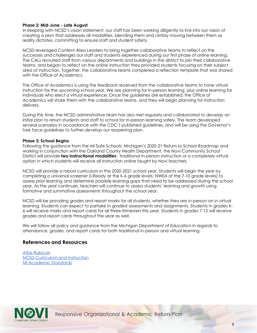#### <span id="page-9-0"></span> **Phase 2: Mid-June - Late August**

 creating a plan that addresses all modalities, blending them and nimbly moving between them as In keeping with NCSD's vision statement, our staff has been working diligently to live into our vision of reality dictates, committing to ensure staff and student safety.

NCSD leveraged Content Area Leaders to bring together collaborative teams to reflect on the successes and challenges our staff and students experienced during our first phase of online learning. The CALs recruited staff from various departments and buildings in the district to join their collaborative teams, and began to reflect on the online instruction they provided students focusing on their subject area of instruction. Together, the collaborative teams completed a reflection template that was shared with the Office of Academics.

The Office of Academics is using the feedback received from the collaborative teams to hone virtual instruction for the upcoming school year. We are planning for in-person learning, plus online learning for individuals who elect a virtual experience. Once the guidelines are established, the Office of Academics will share them with the collaborative teams, and they will begin planning for instruction delivery.

During this time, the NCSD administrative team has also met regularly and collaborated to develop an initial plan to return students and staff to school for in-person learning safely. The team developed several scenarios in accordance with the CDC's published guidelines, and will be using the Governor's task force guidelines to further develop our reopening plan.

#### <span id="page-9-1"></span> **Phase 3: School Begins**

 Following the guidance from the MI Safe Schools: Michigan's 2020-21 Return to School Roadmap and working in conjunction with the Oakland County Health Department, the Novi Community School District will provide **two instructional modalities**: traditional in-person instruction or a completely virtual option in which students will receive all instruction online taught by Novi teachers.

NCSD will provide a robust curriculum in the 2020-2021 school year. Students will begin the year by completing a universal screener (i-Ready at the K-6 grade levels; NWEA at the 7-10 grade levels) to assess prior learning and determine possible learning gaps that need to be addressed during the school year. As the year continues, teachers will continue to assess students' learning and growth using formative and summative assessments throughout the school year.

NCSD will be providing grades and report marks for all students, whether they are in-person on in virtual learning. Students can expect to partake in graded assessments and assignments. Students in grades K-6 will receive marks and report cards for all three trimesters this year. Students in grades 7-12 will receive grades and report cards throughout the year as well.

We will follow all policy and guidance from the Michigan Department of Education in regards to attendance, grades, and report cards for both traditional in-person and virtual learning.

### <span id="page-9-2"></span>**References and Resources**

[Atlas Rubicon](https://www.novi.k12.mi.us/academics/atlascurriculum-information)  [NCSD Curriculum and Instruction](https://www.novi.k12.mi.us/academics/curriculuminstructionassessment)  [MI Academic Standards](https://www.michigan.gov/mde/0,4615,7-140-28753---,00.html) 

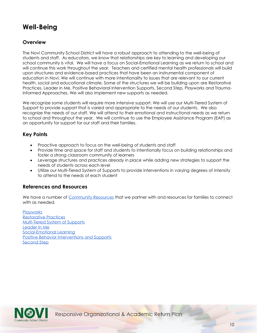## <span id="page-10-0"></span>**Well-Being**

## <span id="page-10-1"></span>**Overview**

The Novi Community School District will have a robust approach to attending to the well-being of students and staff. As educators, we know that relationships are key to learning and developing our school community is vital. We will have a focus on Social-Emotional Learning as we return to school and will continue this work throughout the year. Teachers and certified mental health professionals will build upon structures and evidence-based practices that have been an instrumental component of education in Novi. We will continue with more intentionality to issues that are relevant to our current health, social and educational climate. Some of the structures we will be building upon are Restorative Practices, Leader in Me, Positive Behavioral Intervention Supports, Second Step, Playworks and Trauma-Informed Approaches. We will also implement new supports as needed.

 to school and throughout the year. We will continue to use the Employee Assistance Program (EAP) as We recognize some students will require more intensive support. We will use our Multi-Tiered System of Support to provide support that is varied and appropriate to the needs of our students. We also recognize the needs of our staff. We will attend to their emotional and instructional needs as we return an opportunity for support for our staff and their families.

### <span id="page-10-2"></span>**Key Points**

- Proactive approach to focus on the well-being of students and staff
- Provide time and space for staff and students to intentionally focus on building relationships and foster a strong classroom community of learners
- Leverage structures and practices already in place while adding new strategies to support the needs of students across each level
- Utilize our Multi-Tiered System of Supports to provide interventions in varying degrees of intensity to attend to the needs of each student

### <span id="page-10-3"></span>**References and Resources**

We have a number of [Community Resources](https://www.novi.k12.mi.us/academics/continuity-of-learning) that we partner with and resources for families to connect with as needed.

**Playworks** [Restorative Practices](https://www.iirp.edu/restorative-practices/what-is-restorative-practices)  [Multi-Tiered System of Supports](https://www.michigan.gov/mde/0,4615,7-140-28753_65803_86454---,00.html)  [Leader In Me](https://www.leaderinme.org/what-is-leader-in-me/)  [Social-Emotional Learning](https://casel.org/what-is-sel/)  [Positive Behavior Interventions and Supports](https://www.pbis.org/)  [Second Step](https://www.secondstep.org/what-is-second-step) 

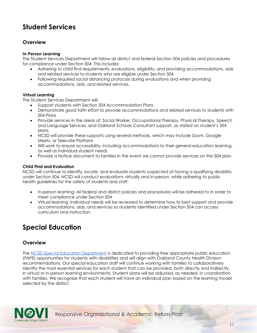## <span id="page-11-0"></span>**Student Services**

## <span id="page-11-1"></span>**Overview**

#### <span id="page-11-2"></span>**In-Person Learning**

The Student Services Department will follow all district and federal Section 504 policies and procedures for compliance under Section 504. This includes:

- Adhering to child find requirements, evaluations, eligibility, and providing accommodations, aids and related services to students who are eligible under Section 504.
- Following required social distancing protocols during evaluations and when providing accommodations, aids, and related services.

#### <span id="page-11-3"></span>**Virtual Learning**

The Student Services Department will:

- Support students with Section 504 Accommodation Plans
- Demonstrate good faith effort to provide accommodations and related services to students with 504 Plans
- Provide services in the areas of: Social Worker, Occupational Therapy, Physical Therapy, Speech and Language Services, and Oakland Schools Consultant support, as stated on student's 504 plans.
- NCSD will provide these supports using several methods, which may include Zoom, Google Meets, or Televate Platform
- Will work to ensure accessibility, including accommodations to their general education learning, as well as individual student needs
- Provide a Notice document to families in the event we cannot provide services on the 504 plan

#### <span id="page-11-4"></span> **Child Find and Evaluation**

NCSD will continue to identify, locate, and evaluate students suspected of having a qualifying disability under Section 504. NCSD will conduct evaluations virtually and in-person, while adhering to public health guidelines for the safety of students and staff.

- In-person learning: All federal and district policies and procedures will be adhered to in order to meet compliance under Section 504
- accommodations, aids, and services so students identified under Section 504 can access • Virtual learning: Individual needs will be reviewed to determine how to best support and provide curriculum and instruction

## <span id="page-11-5"></span>**Special Education**

## <span id="page-11-6"></span>**Overview**

The [NCSD Special Education Department](https://www.novi.k12.mi.us/academics/special-education) is dedicated to providing free appropriate public education (FAPE) opportunities for students with disabilities and will align with Oakland County Health Division recommendations. Our special education staff will continue working with families to collaboratively identify the most essential services for each student that can be provided, both directly and indirectly, in virtual or in-person learning environments. Student plans will be adjusted, as needed, in coordination with families. We recognize that each student will have an individual plan based on the learning model selected by the district.

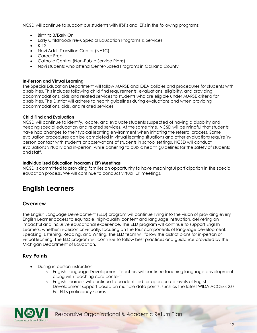NCSD will continue to support our students with IFSPs and IEPs in the following programs:

- Birth to 3/Early On
- Early Childhood/Pre-K Special Education Programs & Services
- K-12
- Novi Adult Transition Center (NATC)
- Career Prep
- Catholic Central (Non-Public Service Plans)
- Novi students who attend Center-Based Programs in Oakland County

#### <span id="page-12-0"></span> **In-Person and Virtual Learning**

The Special Education Department will follow MARSE and IDEA policies and procedures for students with disabilities. This includes following child find requirements, evaluations, eligibility, and providing accommodations, aids and related services to students who are eligible under MARSE criteria for disabilities. The District will adhere to health guidelines during evaluations and when providing accommodations, aids, and related services.

#### <span id="page-12-1"></span> **Child Find and Evaluation**

NCSD will continue to identify, locate, and evaluate students suspected of having a disability and needing special education and related services. At the same time, NCSD will be mindful that students have had changes to their typical learning environment when initiating the referral process. Some evaluation procedures can be completed in virtual learning situations and other evaluations require inperson contact with students or observations of students in school settings. NCSD will conduct evaluations virtually and in-person, while adhering to public health guidelines for the safety of students and staff.

#### <span id="page-12-2"></span> **Individualized Education Program (IEP) Meetings**

 education process. We will continue to conduct virtual IEP meetings. NCSD is committed to providing families an opportunity to have meaningful participation in the special

## <span id="page-12-3"></span>**English Learners**

### <span id="page-12-4"></span>**Overview**

 The English Language Development (ELD) program will continue living into the vision of providing every English Learner access to equitable, high-quality content and language instruction, delivering an impactful and inclusive educational experience. The ELD program will continue to support English Learners, whether in-person or virtually, focusing on the four components of language development: Speaking, Listening, Reading, and Writing. The ELD team will follow the district plans for in-person or virtual learning. The ELD program will continue to follow best practices and guidance provided by the Michigan Department of Education.

## <span id="page-12-5"></span>**Key Points**

- During in-person instruction,
	- o English Language Development Teachers will continue teaching language development along with teaching core content
	- o English Learners will continue to be identified for appropriate levels of English Development support based on multiple data points, such as the latest WIDA ACCESS 2.0 For ELLs proficiency scores

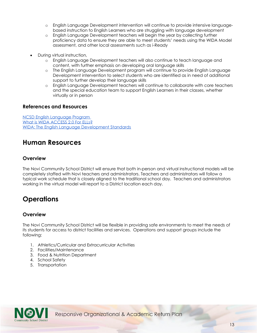- o English Language Development intervention will continue to provide intensive languagebased instruction to English Learners who are struggling with language development
- o English Language Development teachers will begin the year by collecting further proficiency data to ensure they are able to meet students' needs using the WIDA Model assessment, and other local assessments such as i-Ready
- During virtual instruction,
	- o English Language Development teachers will also continue to teach language and content, with further emphasis on developing oral language skills
	- o The English Language Development program will continue to provide English Language Development intervention to select students who are identified as in need of additional support to further develop their language skills
	- English Language Development teachers will continue to collaborate with core teachers and the special education team to support English Learners in their classes, whether virtually or in person

### <span id="page-13-0"></span>**References and Resources**

[NCSD English Language Program](https://www.novi.k12.mi.us/academics/english-language-program-esl)  What is WIDA ACCESS 2.0 For ELLs? [WIDA: The English Language Development Standards](https://wida.wisc.edu/sites/default/files/resource/2012-ELD-Standards.pdf) 

## <span id="page-13-1"></span>**Human Resources**

### <span id="page-13-2"></span>**Overview**

 working in the virtual model will report to a District location each day. The Novi Community School District will ensure that both in-person and virtual instructional models will be completely staffed with Novi teachers and administrators. Teachers and administrators will follow a typical work schedule that is closely aligned to the traditional school day. Teachers and administrators

## <span id="page-13-3"></span>**Operations**

## <span id="page-13-4"></span>**Overview**

The Novi Community School District will be flexible in providing safe environments to meet the needs of its students for access to district facilities and services. Operations and support groups include the following:

- 1. Athletics/Curricular and Extracurricular Activities
- 2. Facilities/Maintenance
- 3. Food & Nutrition Department
- 4. School Safety
- 5. Transportation

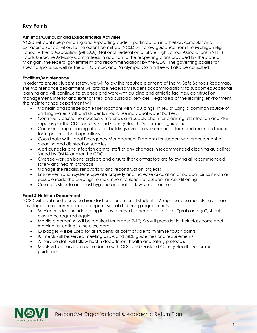## <span id="page-14-0"></span>**Key Points**

#### <span id="page-14-1"></span> **Athletics/Curricular and Extracurricular Activities**

 Sports Medicine Advisory Committees, in addition to the reopening plans provided by the state of NCSD will continue promoting and supporting student participation in athletics, curricular and extracurricular activities, to the extent permitted. NCSD will follow guidance from the Michigan High School Athletic Association (MHSAA), National Federation of State High School Associations' (NFHS) Michigan, the federal government and recommendations by the CDC. The governing bodies for specific sports, as well as the U.S. Olympic and Paralympic Committee will also be consulted.

#### <span id="page-14-2"></span>**Facilities/Maintenance**

In order to ensure student safety, we will follow the required elements of the MI Safe Schools Roadmap. The Maintenance department will provide necessary student accommodations to support educational learning and will continue to oversee and work with building and athletic facilities, construction management, interior and exterior sites, and custodial services. Regardless of the learning environment, the maintenance department will:

- Maintain and sanitize bottle filler locations within buildings. In lieu of using a common source of drinking water, staff and students should use individual water bottles.
- • Continually assess the necessary materials and supply chain for cleaning, disinfection and PPE supplies per the CDC and Oakland County Health Department guidelines
- Continue deep cleaning all district buildings over the summer and clean and maintain facilities for in-person school operations
- Coordinate with Local Emergency Management Programs for support with procurement of cleaning and disinfection supplies
- issued by OSHA and/or the CDC • Alert custodial and infection control staff of any changes in recommended cleaning guidelines
- Oversee work on bond projects and ensure that contractors are following all recommended safety and health protocols
- Manage site repairs, renovations and reconstruction projects
- Ensure ventilation systems operate properly and increase circulation of outdoor air as much as possible inside the buildings to maximize circulation of outdoor air conditioning
- Create, distribute and post hygiene and traffic-flow visual controls

#### <span id="page-14-3"></span> **Food & Nutrition Department**

NCSD will continue to provide breakfast and lunch for all students. Multiple service models have been developed to accommodate a range of social distancing requirements.

- Service models include eating in classrooms, distanced cafeteria, or "grab and go", should closure be required again
- Mobile preordering will be required for grades 7-12; K-6 will preorder in their classrooms each morning for eating in the classroom
- ID badges will be used for all students at point of sale to minimize touch points
- All meals will be served meeting USDA and MDE guidelines and requirements
- All service staff will follow health department health and safety protocols
- • Meals will be served in accordance with CDC and Oakland County Health Department guidelines

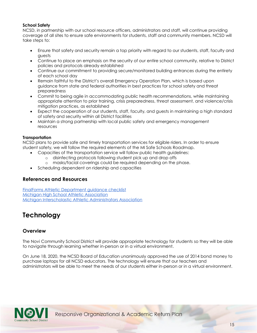#### <span id="page-15-0"></span>**School Safety**

NCSD, in partnership with our school resource officers, administrators and staff, will continue providing coverage of all sites to ensure safe environments for students, staff and community members. NCSD will take steps to:

- Ensure that safety and security remain a top priority with regard to our students, staff, faculty and guests
- Continue to place an emphasis on the security of our entire school community, relative to District policies and protocols already established
- Continue our commitment to providing secure/monitored building entrances during the entirety of each school day
- Remain faithful to the District's overall Emergency Operation Plan, which is based upon guidance from state and federal authorities in best practices for school safety and threat preparedness
- Commit to being agile in accommodating public health recommendations, while maintaining appropriate attention to prior training, crisis preparedness, threat assessment, and violence/crisis mitigation practices, as established
- Expect the cooperation of our students, staff, faculty, and guests in maintaining a high standard of safety and security within all District facilities
- Maintain a strong partnership with local public safety and emergency management resources

#### <span id="page-15-1"></span>**Transportation**

NCSD plans to provide safe and timely transportation services for eligible riders. In order to ensure student safety, we will follow the required elements of the MI Safe Schools Roadmap.

- Capacities of the transportation service will follow public health guidelines:
	- o disinfecting protocols following student pick up and drop offs
	- o masks/facial coverings could be required depending on the phase.
- Scheduling dependent on ridership and capacities

### <span id="page-15-2"></span>**References and Resources**

[FinalForms Athletic Department guidance checklist](https://cdn2.hubspot.net/hubfs/2800474/FinalForms_AD_Reopening_Checklist.pdf)  [Michigan High School Athletic Association](http://www.mhsaa.com/)  [Michigan Interscholastic Athletic Administrators Association](http://www.miaaa.com/) 

## <span id="page-15-3"></span>**Technology**

### <span id="page-15-4"></span>**Overview**

 to navigate through learning whether in-person or in a virtual environment. The Novi Community School District will provide appropriate technology for students so they will be able

 On June 18, 2020, the NCSD Board of Education unanimously approved the use of 2014 bond money to purchase laptops for all NCSD educators. The technology will ensure that our teachers and administrators will be able to meet the needs of our students either in-person or in a virtual environment.

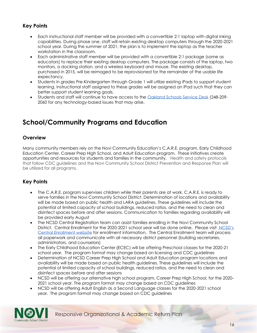## <span id="page-16-0"></span>**Key Points**

- Each instructional staff member will be provided with a convertible 2:1 laptop with digital inking capabilities. During phase one, staff will retain existing desktop computers through the 2020-2021 school year. During the summer of 2021, the plan is to implement the laptop as the teacher workstation in the classroom.
- Each administrative staff member will be provided with a convertible 2:1 package (same as educators) to replace their existing desktop computers. The package consists of the laptop, two monitors, a docking station, and a wireless keyboard and mouse. The existing desktop, purchased in 2015, will be reimaged to be reprovisioned for the remainder of the usable life expectancy.
- Students in grades Pre-Kindergarten through Grade 1 will utilize existing iPads to support student learning. Instructional staff assigned to these grades will be assigned an iPad such that they can better support student learning goals.
- Students and staff will continue to have access to the [Oakland Schools Service Desk](https://servicedesk.oakland.k12.mi.us/) (248-209- 2060 for any technology-based issues that may arise.

## <span id="page-16-1"></span>**School/Community Programs and Education**

### <span id="page-16-2"></span>**Overview**

Many community members rely on the Novi Community Education's C.A.R.E. program, Early Childhood Education Center, Career Prep High School, and Adult Education program. These initiatives create opportunities and resources for students and families in the community. Health and safety protocols that follow CDC guidelines and the Novi Community School District Prevention and Response Plan will be utilized for all programs.

## <span id="page-16-3"></span>**Key Points**

- The C.A.R.E. program supervises children while their parents are at work. C.A.R.E. is ready to serve families in the Novi Community School District. Determination of locations and availability will be made based on public health and LARA guidelines. These guidelines will include the potential of limited capacity of school buildings, reduced ratios, and the need to clean and disinfect spaces before and after sessions. Communication to families regarding availability will be provided early August
- • The NCSD Central Registration team can assist families enrolling in the Novi Community School District. Central Enrollment for the 2020-2021 school year will be done online. Please visit NCSD's Central Enrollment website for enrollment information. The Central Enrollment team will process all paperwork and communicate with all necessary district personnel (building secretaries, administrators, and counselors)
- The Early Childhood Education Center (ECEC) will be offering Preschool classes for the 2020-21 school year. The program format may change based on licensing and CDC guidelines
- Determination of NCSD Career Prep High School and Adult Education program locations and availability will be made based on public health guidelines. These guidelines will include the potential of limited capacity of school buildings, reduced ratios, and the need to clean and disinfect spaces before and after sessions
- NCSD will be offering our alternative high school program, Career Prep High School, for the 2020- 2021 school year. The program format may change based on CDC guidelines
- NCSD will be offering Adult English as a Second Language classes for the 2020-2021 school year. The program format may change based on CDC guidelines

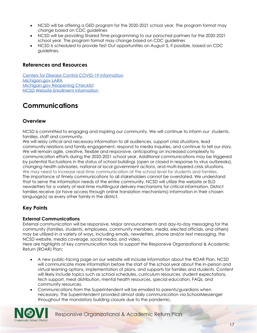- NCSD will be offering a GED program for the 2020-2021 school year. The program format may change based on CDC guidelines
- NCSD will be providing Shared Time programming to our parochial partners for the 2020-2021 school year. The program format may change based on CDC guidelines
- NCSD is scheduled to provide Test Out opportunities on August 5, if possible, based on CDC guidelines.

### <span id="page-17-0"></span>**References and Resources**

[Centers for Disease Control COVID-19 information](https://www.cdc.gov/coronavirus/2019-ncov/index.html/)  [Michigan.gov LARA](https://www.michigan.gov/lara/0,4601,7-154-89334_63294_5529---,00.html)  [Michigan.gov Reopening Checklist](https://www.michigan.gov/documents/lara/Reopening_Checklist_692632_7.pdf)  [NCSD Website Enrollment information](https://www.novi.k12.mi.us/why-novi/enrollment) 

## <span id="page-17-1"></span>**Communications**

## <span id="page-17-2"></span>**Overview**

NCSD is committed to engaging and inspiring our community. We will continue to inform our students, families, staff and community.

We will relay critical and necessary information to all audiences, support crisis situations, lead community relations and family engagement, respond to media inquiries, and continue to tell our story. We will remain agile, creative, flexible and responsive, anticipating an increased complexity to communication efforts during the 2020-2021 school year. Additional communications may be triggered by potential fluctuations in the status of school buildings (open or closed in response to virus outbreaks), changing health advisories, national or local government actions, and multi-layered crisis situations. We may need to increase real-time communication at the school level for students and families. The importance of timely communications to all stakeholders cannot be overstated. We understand that to serve the information needs of the entire community, NCSD will utilize the website or ELD newsletters for a variety of real-time multilingual delivery mechanisms for critical information. District families receive (or have access through online translation mechanisms) information in their chosen language(s) as every other family in the district.

## <span id="page-17-3"></span>**Key Points**

### <span id="page-17-4"></span>**External Communications**

External communication will be responsive. Major announcements and day-to-day messaging for the community (families, students, employees, community members, media, elected officials, and others) may be utilized in a variety of ways, including emails, newsletters, phone and/or text messaging, the NCSD website, media coverage, social media, and video.

Here are highlights of key communication tools to support the Responsive Organizational & Academic Return (ROAR) Plan:

- A new public-facing page on our website will include information about the ROAR Plan. NCSD will communicate more information before the start of the school year about the in-person and virtual learning options, implementation of plans, and supports for families and students. Content will likely include topics such as school schedules, curriculum resources, student expectations, tech support, meal distribution, mental health resources, special education, FAQs, and community resources.
- throughout the mandatory building closure due to the pandemic. • Communications from the Superintendent will be emailed to parents/guardians when necessary. The Superintendent provided almost daily communication via SchoolMessenger